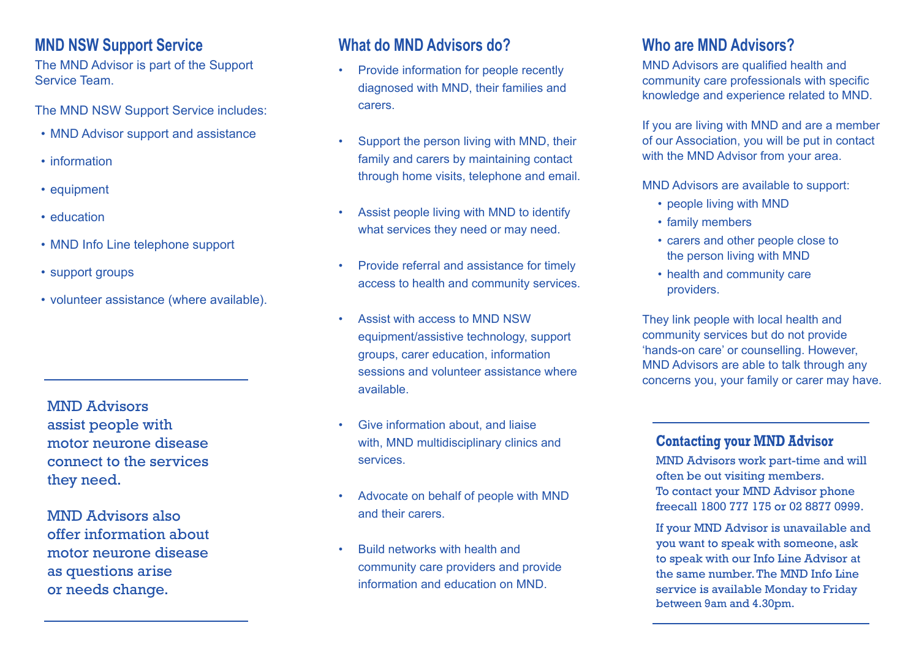#### **MND NSW Support Service**

The MND Advisor is part of the Support Service Team.

The MND NSW Support Service includes:

- MND Advisor support and assistance
- information
- equipment
- education
- MND Info Line telephone support
- support groups
- volunteer assistance (where available).

MND Advisors assist people with motor neurone disease connect to the services they need.

MND Advisors also offer information about motor neurone disease as questions arise or needs change.

#### **What do MND Advisors do?**

- Provide information for people recently diagnosed with MND, their families and carers.
- Support the person living with MND, their family and carers by maintaining contact through home visits, telephone and email.
- Assist people living with MND to identify what services they need or may need.
- Provide referral and assistance for timely access to health and community services.
- Assist with access to MND NSW equipment/assistive technology, support groups, carer education, information sessions and volunteer assistance where available.
- Give information about, and liaise with, MND multidisciplinary clinics and services.
- Advocate on behalf of people with MND and their carers.
- Build networks with health and community care providers and provide information and education on MND.

## **Who are MND Advisors?**

MND Advisors are qualified health and community care professionals with specific knowledge and experience related to MND.

If you are living with MND and are a member of our Association, you will be put in contact with the MND Advisor from your area.

MND Advisors are available to support:

- people living with MND
- family members
- carers and other people close to the person living with MND
- health and community care providers.

They link people with local health and community services but do not provide 'hands-on care' or counselling. However, MND Advisors are able to talk through any concerns you, your family or carer may have.

#### **Contacting your MND Advisor**

MND Advisors work part-time and will often be out visiting members. To contact your MND Advisor phone freecall 1800 777 175 or 02 8877 0999.

If your MND Advisor is unavailable and you want to speak with someone, ask to speak with our Info Line Advisor at the same number. The MND Info Line service is available Monday to Friday between 9am and 4.30pm.